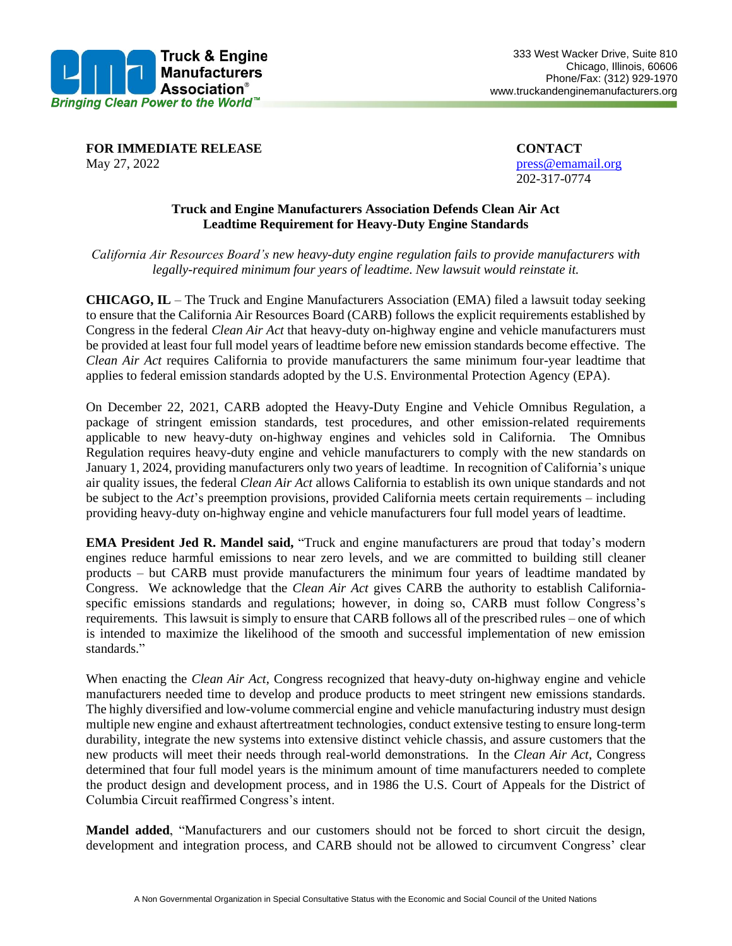

**FOR IMMEDIATE RELEASE CONTACT** May 27, 2022 **press**@emamail.org

202-317-0774

## **Truck and Engine Manufacturers Association Defends Clean Air Act Leadtime Requirement for Heavy-Duty Engine Standards**

*California Air Resources Board's new heavy-duty engine regulation fails to provide manufacturers with legally-required minimum four years of leadtime. New lawsuit would reinstate it.*

**CHICAGO, IL** – The Truck and Engine Manufacturers Association (EMA) filed a lawsuit today seeking to ensure that the California Air Resources Board (CARB) follows the explicit requirements established by Congress in the federal *Clean Air Act* that heavy-duty on-highway engine and vehicle manufacturers must be provided at least four full model years of leadtime before new emission standards become effective. The *Clean Air Act* requires California to provide manufacturers the same minimum four-year leadtime that applies to federal emission standards adopted by the U.S. Environmental Protection Agency (EPA).

On December 22, 2021, CARB adopted the Heavy-Duty Engine and Vehicle Omnibus Regulation, a package of stringent emission standards, test procedures, and other emission-related requirements applicable to new heavy-duty on-highway engines and vehicles sold in California. The Omnibus Regulation requires heavy-duty engine and vehicle manufacturers to comply with the new standards on January 1, 2024, providing manufacturers only two years of leadtime. In recognition of California's unique air quality issues, the federal *Clean Air Act* allows California to establish its own unique standards and not be subject to the *Act*'s preemption provisions, provided California meets certain requirements – including providing heavy-duty on-highway engine and vehicle manufacturers four full model years of leadtime.

**EMA President Jed R. Mandel said,** "Truck and engine manufacturers are proud that today's modern engines reduce harmful emissions to near zero levels, and we are committed to building still cleaner products – but CARB must provide manufacturers the minimum four years of leadtime mandated by Congress. We acknowledge that the *Clean Air Act* gives CARB the authority to establish Californiaspecific emissions standards and regulations; however, in doing so, CARB must follow Congress's requirements. This lawsuit is simply to ensure that CARB follows all of the prescribed rules – one of which is intended to maximize the likelihood of the smooth and successful implementation of new emission standards."

When enacting the *Clean Air Act*, Congress recognized that heavy-duty on-highway engine and vehicle manufacturers needed time to develop and produce products to meet stringent new emissions standards. The highly diversified and low-volume commercial engine and vehicle manufacturing industry must design multiple new engine and exhaust aftertreatment technologies, conduct extensive testing to ensure long-term durability, integrate the new systems into extensive distinct vehicle chassis, and assure customers that the new products will meet their needs through real-world demonstrations. In the *Clean Air Act*, Congress determined that four full model years is the minimum amount of time manufacturers needed to complete the product design and development process, and in 1986 the U.S. Court of Appeals for the District of Columbia Circuit reaffirmed Congress's intent.

**Mandel added**, "Manufacturers and our customers should not be forced to short circuit the design, development and integration process, and CARB should not be allowed to circumvent Congress' clear